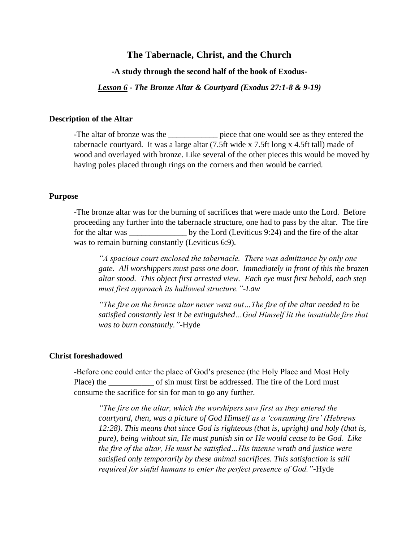# **The Tabernacle, Christ, and the Church**

**-A study through the second half of the book of Exodus-**

*Lesson 6 - The Bronze Altar & Courtyard (Exodus 27:1-8 & 9-19)*

### **Description of the Altar**

-The altar of bronze was the \_\_\_\_\_\_\_\_\_\_\_\_\_\_ piece that one would see as they entered the tabernacle courtyard. It was a large altar (7.5ft wide x 7.5ft long x 4.5ft tall) made of wood and overlayed with bronze. Like several of the other pieces this would be moved by having poles placed through rings on the corners and then would be carried.

## **Purpose**

-The bronze altar was for the burning of sacrifices that were made unto the Lord. Before proceeding any further into the tabernacle structure, one had to pass by the altar. The fire for the altar was by the Lord (Leviticus 9:24) and the fire of the altar was to remain burning constantly (Leviticus 6:9).

*"A spacious court enclosed the tabernacle. There was admittance by only one gate. All worshippers must pass one door. Immediately in front of this the brazen altar stood. This object first arrested view. Each eye must first behold, each step must first approach its hallowed structure."-Law*

*"The fire on the bronze altar never went out…The fire of the altar needed to be satisfied constantly lest it be extinguished…God Himself lit the insatiable fire that was to burn constantly."-*Hyde

#### **Christ foreshadowed**

-Before one could enter the place of God's presence (the Holy Place and Most Holy Place) the \_\_\_\_\_\_\_\_\_\_\_\_\_ of sin must first be addressed. The fire of the Lord must consume the sacrifice for sin for man to go any further.

*"The fire on the altar, which the worshipers saw first as they entered the courtyard, then, was a picture of God Himself as a 'consuming fire' (Hebrews 12:28). This means that since God is righteous (that is, upright) and holy (that is, pure), being without sin, He must punish sin or He would cease to be God. Like the fire of the altar, He must be satisfied…His intense wrath and justice were satisfied only temporarily by these animal sacrifices. This satisfaction is still required for sinful humans to enter the perfect presence of God."-*Hyde